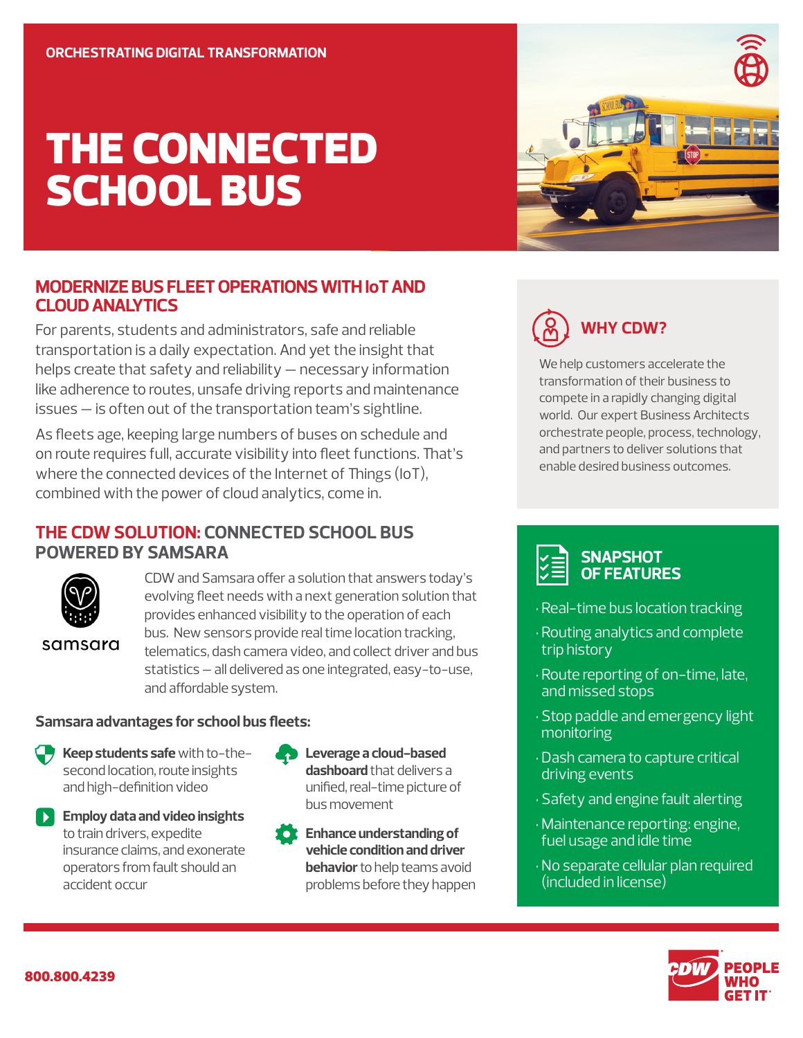# THE CONNECTED SCHOOL BUS

#### **MODERNIZE BUS FLEET OPERATIONS WITH IoT AND CLOUD ANALYTICS**

For parents, students and administrators, safe and reliable transportation is a daily expectation. And yet the insight that helps create that safety and reliability — necessary information like adherence to routes, unsafe driving reports and maintenance issues — is often out of the transportation team's sightline.

As fleets age, keeping large numbers of buses on schedule and on route requires full, accurate visibility into fleet functions. That's where the connected devices of the Internet of Things (IoT), combined with the power of cloud analytics, come in.

#### **THE CDW SOLUTION: CONNECTED SCHOOL BUS POWERED BY SAMSARA**



samsara

CDW and Samsara offer a solution that answers today's evolving fleet needs with a next generation solution that provides enhanced visibility to the operation of each bus. New sensors provide real time location tracking, telematics, dash camera video, and collect driver and bus statistics – all delivered as one integrated, easy-to-use, and affordable system.

#### **Samsara advantages for school bus fleets:**

- **Keep students safe** with to-thesecond location, route insights and high-definition video
- **Employ data and video insights** to train drivers, expedite insurance claims, and exonerate operators from fault should an accident occur
- **Leverage a cloud-based dashboard** that delivers a unified, real-time picture of bus movement

**Enhance understanding of vehicle condition and driver behavior** to help teams avoid problems before they happen





We help customers accelerate the transformation of their business to compete in a rapidly changing digital world. Our expert Business Architects orchestrate people, process, technology, and partners to deliver solutions that enable desired business outcomes.



- Real-time bus location tracking
- Routing analytics and complete trip history
- Route reporting of on-time, late, and missed stops
- Stop paddle and emergency light monitoring
- Dash camera to capture critical driving events
- Safety and engine fault alerting
- Maintenance reporting: engine, fuel usage and idle time
- No separate cellular plan required (included in license)